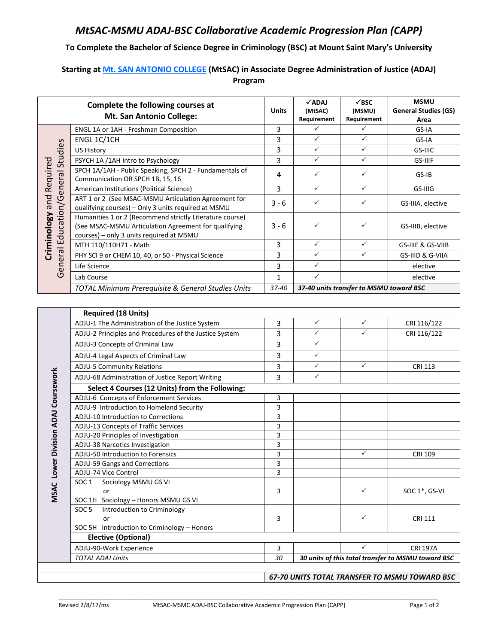## *MtSAC-MSMU ADAJ-BSC Collaborative Academic Progression Plan (CAPP)*

## **To Complete the Bachelor of Science Degree in Criminology (BSC) at Mount Saint Mary's University**

## **Starting at Mt. SAN ANTONIO COLLEGE (MtSAC) in Associate Degree Administration of Justice (ADAJ) Program**

| Complete the following courses at                             |                                                                                                                                                              | <b>Units</b>        | $\checkmark$ ADAJ<br>(MtSAC)                                          | $\checkmark$ BSC<br>(MSMU)              | <b>MSMU</b><br><b>General Studies (GS)</b> |  |
|---------------------------------------------------------------|--------------------------------------------------------------------------------------------------------------------------------------------------------------|---------------------|-----------------------------------------------------------------------|-----------------------------------------|--------------------------------------------|--|
|                                                               | <b>Mt. San Antonio College:</b>                                                                                                                              |                     | Requirement                                                           | Requirement                             | Area                                       |  |
|                                                               | ENGL 1A or 1AH - Freshman Composition                                                                                                                        | 3                   | ✓                                                                     | ✓                                       | GS-IA                                      |  |
|                                                               | ENGL 1C/1CH                                                                                                                                                  | 3                   | ✓                                                                     | $\checkmark$                            | GS-IA                                      |  |
|                                                               | <b>US History</b>                                                                                                                                            | 3                   | ✓                                                                     | $\checkmark$                            | GS-IIIC                                    |  |
|                                                               | PSYCH 1A /1AH Intro to Psychology                                                                                                                            | 3                   | $\checkmark$                                                          | $\checkmark$                            | GS-IIIF                                    |  |
|                                                               | SPCH 1A/1AH - Public Speaking, SPCH 2 - Fundamentals of<br>Communication OR SPCH 1B, 15, 16                                                                  | 4                   | ✓                                                                     | $\checkmark$                            | GS-IB                                      |  |
|                                                               | American Institutions (Political Science)                                                                                                                    | 3                   | $\checkmark$                                                          | $\checkmark$                            | GS-IIIG                                    |  |
| General Education/General Studies<br>Criminology and Required | ART 1 or 2 (See MSAC-MSMU Articulation Agreement for<br>qualifying courses) - Only 3 units required at MSMU                                                  | $3 - 6$             | $\checkmark$                                                          | ✓                                       | GS-IIIA, elective                          |  |
|                                                               | Humanities 1 or 2 (Recommend strictly Literature course)<br>(See MSAC-MSMU Articulation Agreement for qualifying<br>courses) - only 3 units required at MSMU | 3 - 6               | $\checkmark$                                                          | ✓                                       | GS-IIIB, elective                          |  |
|                                                               | MTH 110/110H71 - Math                                                                                                                                        | 3                   | $\checkmark$                                                          | $\checkmark$                            | GS-IIIE & GS-VIIB                          |  |
|                                                               | PHY SCI 9 or CHEM 10, 40, or 50 - Physical Science                                                                                                           | 3                   | ✓                                                                     | $\checkmark$                            | GS-IIID & G-VIIA                           |  |
|                                                               | Life Science                                                                                                                                                 | 3                   | ✓                                                                     |                                         | elective                                   |  |
|                                                               | Lab Course                                                                                                                                                   | $\mathbf{1}$        | $\checkmark$                                                          |                                         | elective                                   |  |
|                                                               | TOTAL Minimum Prerequisite & General Studies Units                                                                                                           | 37-40               |                                                                       | 37-40 units transfer to MSMU toward BSC |                                            |  |
|                                                               |                                                                                                                                                              |                     |                                                                       |                                         |                                            |  |
|                                                               | <b>Required (18 Units)</b>                                                                                                                                   |                     |                                                                       |                                         |                                            |  |
|                                                               | ADJU-1 The Administration of the Justice System                                                                                                              | 3                   | $\checkmark$                                                          | $\checkmark$                            | CRI 116/122                                |  |
|                                                               | ADJU-2 Principles and Procedures of the Justice System                                                                                                       | 3                   | $\checkmark$                                                          | $\checkmark$                            | CRI 116/122                                |  |
|                                                               | ADJU-3 Concepts of Criminal Law                                                                                                                              | 3                   | ✓                                                                     |                                         |                                            |  |
|                                                               | ADJU-4 Legal Aspects of Criminal Law                                                                                                                         | 3                   | ✓                                                                     |                                         |                                            |  |
|                                                               | <b>ADJU-5 Community Relations</b>                                                                                                                            | 3                   | $\checkmark$                                                          | $\checkmark$                            | <b>CRI 113</b>                             |  |
|                                                               | ADJU-68 Administration of Justice Report Writing                                                                                                             | 3                   | $\checkmark$                                                          |                                         |                                            |  |
| Division ADAJ Coursework                                      | Select 4 Courses (12 Units) from the Following:                                                                                                              |                     |                                                                       |                                         |                                            |  |
|                                                               | ADJU-6 Concepts of Enforcement Services                                                                                                                      | 3                   |                                                                       |                                         |                                            |  |
|                                                               | ADJU-9 Introduction to Homeland Security                                                                                                                     | 3                   |                                                                       |                                         |                                            |  |
|                                                               | ADJU-10 Introduction to Corrections                                                                                                                          | 3                   |                                                                       |                                         |                                            |  |
|                                                               | ADJU-13 Concepts of Traffic Services                                                                                                                         | 3                   |                                                                       |                                         |                                            |  |
|                                                               | ADJU-20 Principles of Investigation                                                                                                                          | 3                   |                                                                       |                                         |                                            |  |
|                                                               | ADJU-38 Narcotics Investigation                                                                                                                              | 3                   |                                                                       |                                         |                                            |  |
|                                                               | ADJU-50 Introduction to Forensics                                                                                                                            | 3                   |                                                                       | $\checkmark$                            | <b>CRI 109</b>                             |  |
|                                                               | ADJU-59 Gangs and Corrections                                                                                                                                | 3<br>$\overline{3}$ |                                                                       |                                         |                                            |  |
|                                                               | ADJU-74 Vice Control<br>Sociology MSMU GS VI<br>SOC <sub>1</sub>                                                                                             |                     |                                                                       |                                         |                                            |  |
| MSAC Lower                                                    | or                                                                                                                                                           | 3                   |                                                                       | ✓                                       | SOC 1*, GS-VI                              |  |
|                                                               | SOC 1H Sociology - Honors MSMU GS VI                                                                                                                         |                     |                                                                       |                                         |                                            |  |
|                                                               | SOC <sub>5</sub><br>Introduction to Criminology                                                                                                              |                     |                                                                       |                                         |                                            |  |
|                                                               | or                                                                                                                                                           | 3                   |                                                                       | ✓                                       | <b>CRI 111</b>                             |  |
|                                                               | SOC 5H Introduction to Criminology - Honors<br><b>Elective (Optional)</b>                                                                                    |                     |                                                                       |                                         |                                            |  |
|                                                               | ADJU-90-Work Experience                                                                                                                                      | $\mathfrak{Z}$      |                                                                       | $\checkmark$                            |                                            |  |
|                                                               |                                                                                                                                                              | 30                  | <b>CRI 197A</b><br>30 units of this total transfer to MSMU toward BSC |                                         |                                            |  |
| <b>TOTAL ADAJ Units</b>                                       |                                                                                                                                                              |                     |                                                                       |                                         |                                            |  |
| 67-70 UNITS TOTAL TRANSFER TO MSMU TOWARD BSC                 |                                                                                                                                                              |                     |                                                                       |                                         |                                            |  |